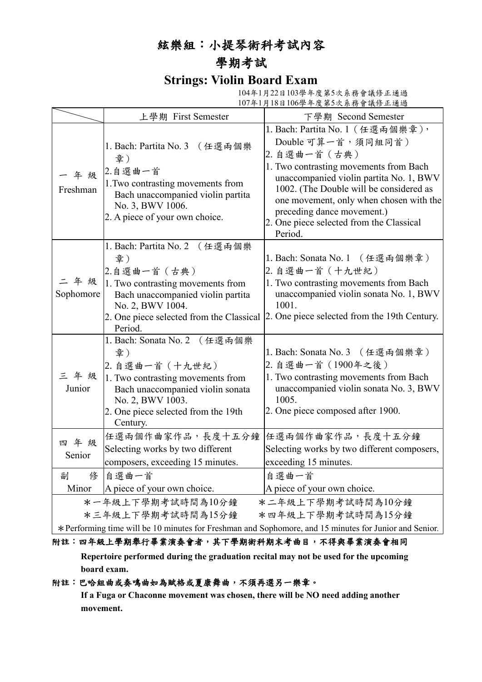### 絃樂組:小提琴術科考試內容

## 學期考試

### **Strings: Violin Board Exam**

104年1月22日103學年度第5次系務會議修正通過 107年1月18日106學年度第5次系務會議修正通過

|                  | 上學期 First Semester                                                                                                                                                                                          | 下學期 Second Semester                                                                                                                                                                                                                                                                                                                     |
|------------------|-------------------------------------------------------------------------------------------------------------------------------------------------------------------------------------------------------------|-----------------------------------------------------------------------------------------------------------------------------------------------------------------------------------------------------------------------------------------------------------------------------------------------------------------------------------------|
| 年级<br>Freshman   | 1. Bach: Partita No. 3 (任選兩個樂<br>章)<br>2.自選曲一首<br>1. Two contrasting movements from<br>Bach unaccompanied violin partita<br>No. 3, BWV 1006.<br>2. A piece of your own choice.                              | 1. Bach: Partita No. 1 (任選兩個樂章),<br>Double 可算一首, 須同組同首)<br>2. 自選曲一首(古典)<br>1. Two contrasting movements from Bach<br>unaccompanied violin partita No. 1, BWV<br>1002. (The Double will be considered as<br>one movement, only when chosen with the<br>preceding dance movement.)<br>2. One piece selected from the Classical<br>Period. |
| 二年级<br>Sophomore | 1. Bach: Partita No. 2<br>(任選兩個樂<br>章)<br>2.自選曲一首 (古典)<br>1. Two contrasting movements from<br>Bach unaccompanied violin partita<br>No. 2, BWV 1004.<br>2. One piece selected from the Classical<br>Period. | 1. Bach: Sonata No. 1 (任選兩個樂章)<br>2. 自選曲一首 (十九世紀)<br>1. Two contrasting movements from Bach<br>unaccompanied violin sonata No. 1, BWV<br>1001.<br>2. One piece selected from the 19th Century.                                                                                                                                          |
| 三年级<br>Junior    | 1. Bach: Sonata No. 2 (任選兩個樂<br>章)<br>2. 自選曲一首 (十九世紀)<br>1. Two contrasting movements from<br>Bach unaccompanied violin sonata<br>No. 2, BWV 1003.<br>2. One piece selected from the 19th<br>Century.       | 1. Bach: Sonata No. 3 (任選兩個樂章)<br>2. 自選曲一首 (1900年之後)<br>1. Two contrasting movements from Bach<br>unaccompanied violin sonata No. 3, BWV<br>1005.<br>2. One piece composed after 1900.                                                                                                                                                  |
| 四年级<br>Senior    | 任選兩個作曲家作品,長度十五分鐘<br>Selecting works by two different<br>composers, exceeding 15 minutes.                                                                                                                    | 任選兩個作曲家作品,長度十五分鐘<br>Selecting works by two different composers,<br>exceeding 15 minutes.                                                                                                                                                                                                                                                |
| 俢<br>副           | 自選曲一首                                                                                                                                                                                                       | 自選曲一首                                                                                                                                                                                                                                                                                                                                   |
| Minor            | A piece of your own choice.                                                                                                                                                                                 | A piece of your own choice.                                                                                                                                                                                                                                                                                                             |
|                  | *一年級上下學期考試時間為10分鐘<br>*三年級上下學期考試時間為15分鐘<br>$\mathcal{L}$ . The set of $\mathcal{L}$ is the set of $\mathcal{L}$                                                                                              | *二年級上下學期考試時間為10分鐘<br>*四年級上下學期考試時間為15分鐘<br>$10 \quad 1 \quad 115 \quad 10 \quad 10$                                                                                                                                                                                                                                                      |

\*Performing time will be 10 minutes for Freshman and Sophomore, and 15 minutes for Junior and Senior.

#### 附註:四年級上學期舉行畢業演奏會者,其下學期術科期末考曲目,不得與畢業演奏會相同

**Repertoire performed during the graduation recital may not be used for the upcoming board exam.**

#### 附註:巴哈組曲或奏鳴曲如為賦格或夏康舞曲,不須再選另一樂章。

**If a Fuga or Chaconne movement was chosen, there will be NO need adding another movement.**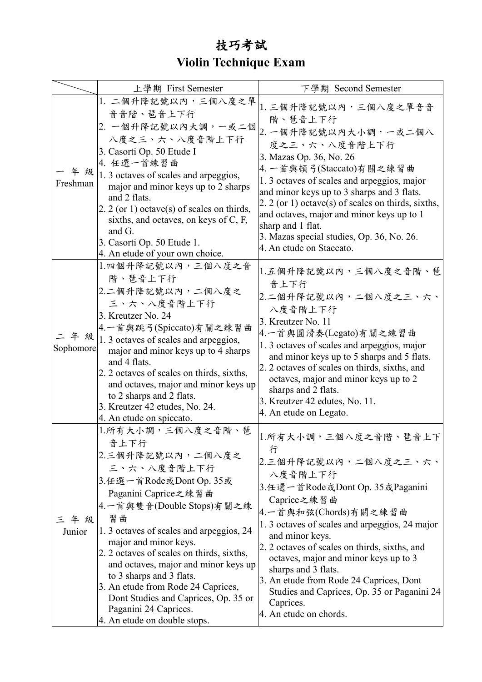# 技巧考試 **Violin Technique Exam**

|           | 上學期 First Semester                                               | 下學期 Second Semester                                                                       |
|-----------|------------------------------------------------------------------|-------------------------------------------------------------------------------------------|
|           | 1. 二個升降記號以內,三個八度之單                                               | 1. 三個升降記號以內, 三個八度之單音音                                                                     |
|           | 音音階、琶音上下行                                                        | 階、琶音上下行                                                                                   |
|           | 2. 一個升降記號以內大調,一或二個                                               |                                                                                           |
|           | 八度之三、六、八度音階上下行                                                   | 2. 一個升降記號以內大小調,一或二個八                                                                      |
|           | 3. Casorti Op. 50 Etude I                                        | 度之三、六、八度音階上下行                                                                             |
|           | 4. 任選一首練習曲                                                       | 3. Mazas Op. 36, No. 26                                                                   |
|           | - 年 級   1. 3 octaves of scales and arpeggios,                    | 4. 一首與頓弓(Staccato)有關之練習曲                                                                  |
| Freshman  | major and minor keys up to 2 sharps                              | 1. 3 octaves of scales and arpeggios, major<br>and minor keys up to 3 sharps and 3 flats. |
|           | and 2 flats.                                                     | 2. 2 (or 1) octave(s) of scales on thirds, sixths,                                        |
|           | 2. 2 (or 1) octave(s) of scales on thirds,                       | and octaves, major and minor keys up to 1                                                 |
|           | sixths, and octaves, on keys of C, F,                            | sharp and 1 flat.                                                                         |
|           | and G.                                                           | 3. Mazas special studies, Op. 36, No. 26.                                                 |
|           | 3. Casorti Op. 50 Etude 1.                                       | 4. An etude on Staccato.                                                                  |
|           | 4. An etude of your own choice.                                  |                                                                                           |
|           | 1.四個升降記號以內,三個八度之音                                                | 1.五個升降記號以內,三個八度之音階、琶                                                                      |
|           | 階、琶音上下行                                                          | 音上下行                                                                                      |
|           | 2.二個升降記號以內,二個八度之                                                 | 2.二個升降記號以內,二個八度之三、六、                                                                      |
|           | 三、六、八度音階上下行                                                      | 八度音階上下行                                                                                   |
|           | 3. Kreutzer No. 24                                               | 3. Kreutzer No. 11                                                                        |
|           | 4.一首與跳弓(Spiccato)有關之練習曲                                          | 4.一首與圓滑奏(Legato)有關之練習曲                                                                    |
| Sophomore | $=$ $\frac{4}{3}$ $\frac{4}{3}$ octaves of scales and arpeggios, | 1.3 octaves of scales and arpeggios, major                                                |
|           | major and minor keys up to 4 sharps<br>and 4 flats.              | and minor keys up to 5 sharps and 5 flats.                                                |
|           | 2. 2 octaves of scales on thirds, sixths,                        | 2. 2 octaves of scales on thirds, sixths, and                                             |
|           | and octaves, major and minor keys up                             | octaves, major and minor keys up to 2                                                     |
|           | to 2 sharps and 2 flats.                                         | sharps and 2 flats.                                                                       |
|           | 3. Kreutzer 42 etudes, No. 24.                                   | 3. Kreutzer 42 edutes, No. 11.                                                            |
|           | 4. An etude on spiccato.                                         | 4. An etude on Legato.                                                                    |
|           | 1.所有大小調,三個八度之音階、琶                                                |                                                                                           |
|           | 音上下行                                                             | 1.所有大小調,三個八度之音階、琶音上下                                                                      |
|           | 2.三個升降記號以內,二個八度之                                                 | 行                                                                                         |
|           | 三、六、八度音階上下行                                                      | 2.三個升降記號以內,二個八度之三、六、                                                                      |
|           | 3.任選一首Rode或Dont Op. 35或                                          | 八度音階上下行                                                                                   |
|           | Paganini Caprice之練習曲                                             | 3.任選一首Rode或Dont Op. 35或Paganini                                                           |
|           | 4.一首與雙音(Double Stops)有關之練                                        | Caprice之練習曲                                                                               |
| 三年级       | 習曲                                                               | 4.一首與和弦(Chords)有關之練習曲                                                                     |
| Junior    | 1.3 octaves of scales and arpeggios, 24                          | 1. 3 octaves of scales and arpeggios, 24 major                                            |
|           | major and minor keys.                                            | and minor keys.                                                                           |
|           | 2. 2 octaves of scales on thirds, sixths,                        | 2. 2 octaves of scales on thirds, sixths, and                                             |
|           | and octaves, major and minor keys up                             | octaves, major and minor keys up to 3<br>sharps and 3 flats.                              |
|           | to 3 sharps and 3 flats.                                         | 3. An etude from Rode 24 Caprices, Dont                                                   |
|           | 3. An etude from Rode 24 Caprices,                               | Studies and Caprices, Op. 35 or Paganini 24                                               |
|           | Dont Studies and Caprices, Op. 35 or                             | Caprices.                                                                                 |
|           | Paganini 24 Caprices.                                            | 4. An etude on chords.                                                                    |
|           | 4. An etude on double stops.                                     |                                                                                           |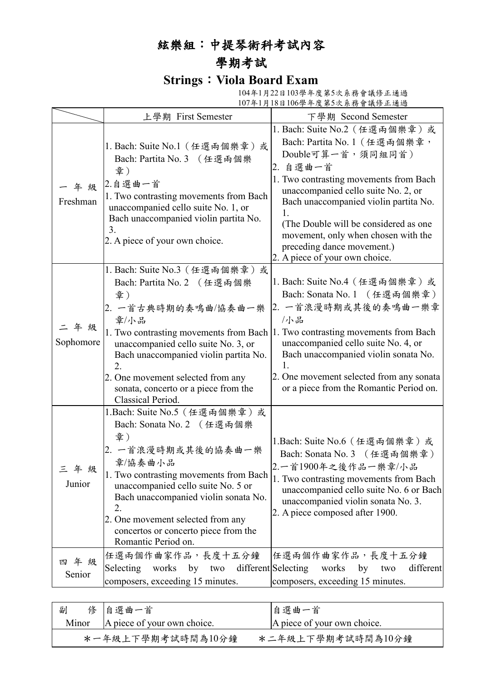# 絃樂組:中提琴術科考試內容

## 學期考試

## **Strings**:**Viola Board Exam**

 104年1月22日103學年度第5次系務會議修正通過 107年1月18日106學年度第5次系務會議修正通過

|                   | 上學期 First Semester                                                                                                                                                                                                                                                                                                                   | 下學期 Second Semester                                                                                                                                                                                                                                                                                                                                                             |
|-------------------|--------------------------------------------------------------------------------------------------------------------------------------------------------------------------------------------------------------------------------------------------------------------------------------------------------------------------------------|---------------------------------------------------------------------------------------------------------------------------------------------------------------------------------------------------------------------------------------------------------------------------------------------------------------------------------------------------------------------------------|
| 年级<br>Freshman    | 1. Bach: Suite No.1 (任選兩個樂章)或<br>Bach: Partita No. 3 (任選兩個樂<br>章)<br>2.自選曲一首<br>1. Two contrasting movements from Bach<br>unaccompanied cello suite No. 1, or<br>Bach unaccompanied violin partita No.<br>3.<br>2. A piece of your own choice.                                                                                       | 1. Bach: Suite No.2 (任選兩個樂章)或<br>Bach: Partita No. 1 (任選兩個樂章,<br>Double可算一首,須同組同首)<br>2. 自選曲一首<br>1. Two contrasting movements from Bach<br>unaccompanied cello suite No. 2, or<br>Bach unaccompanied violin partita No.<br>1.<br>(The Double will be considered as one)<br>movement, only when chosen with the<br>preceding dance movement.)<br>2. A piece of your own choice. |
| 二年级<br>Sophomore  | 1. Bach: Suite No.3 (任選兩個樂章)或<br>Bach: Partita No. 2 (任選兩個樂<br>章)<br>2. 一首古典時期的奏鳴曲/協奏曲一樂<br>章/小品<br>unaccompanied cello suite No. 3, or<br>Bach unaccompanied violin partita No.<br>2.<br>2. One movement selected from any<br>sonata, concerto or a piece from the<br>Classical Period.                                             | 1. Bach: Suite No.4 (任選兩個樂章)或<br>Bach: Sonata No. 1 (任選兩個樂章)<br>2. 一首浪漫時期或其後的奏鳴曲一樂章<br>小品<br>1. Two contrasting movements from Bach 1. Two contrasting movements from Bach<br>unaccompanied cello suite No. 4, or<br>Bach unaccompanied violin sonata No.<br>1.<br>2. One movement selected from any sonata<br>or a piece from the Romantic Period on.                          |
| ∾久<br>Junior      | 1. Bach: Suite No. 5 (任選兩個樂章)或<br>Bach: Sonata No. 2 (任選兩個樂<br>章)<br>2. 一首浪漫時期或其後的協奏曲一樂<br>章/協奏曲小品<br>1. Two contrasting movements from Bach<br>unaccompanied cello suite No. 5 or<br>Bach unaccompanied violin sonata No.<br>2.<br>2. One movement selected from any<br>concertos or concerto piece from the<br>Romantic Period on. | 1.Bach: Suite No.6 (任選兩個樂章) 或<br>Bach: Sonata No. 3 (任選兩個樂章)<br>2.一首1900年之後作品一樂章/小品<br>1. Two contrasting movements from Bach<br>unaccompanied cello suite No. 6 or Bach<br>unaccompanied violin sonata No. 3.<br>2. A piece composed after 1900.                                                                                                                               |
| 年級<br>四<br>Senior | 任選兩個作曲家作品,長度十五分鐘<br>Selecting<br>works by two<br>composers, exceeding 15 minutes.                                                                                                                                                                                                                                                    | 任選兩個作曲家作品,長度十五分鐘<br>different Selecting<br>works<br>by<br>different<br>two<br>composers, exceeding 15 minutes.                                                                                                                                                                                                                                                                  |

| 副     | 修 自選曲一首                     | 自選曲一首                       |
|-------|-----------------------------|-----------------------------|
| Minor | A piece of your own choice. | A piece of your own choice. |
|       | *一年級上下學期考試時間為10分鐘           | *二年級上下學期考試時間為10分鐘           |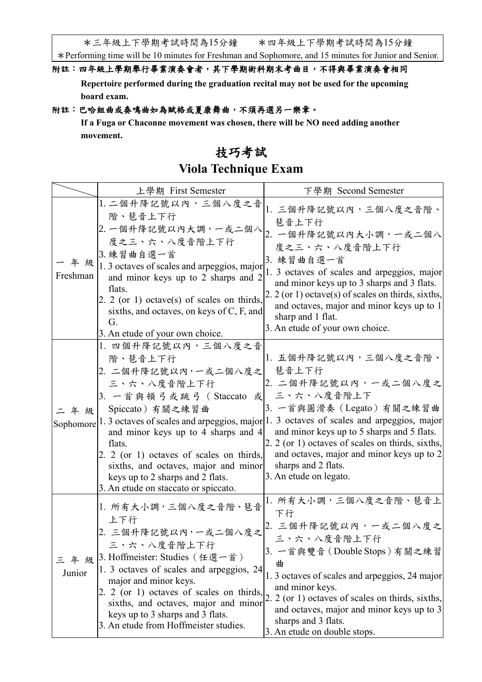\*三年級上下學期考試時間為15分鐘 \*四年級上下學期考試時間為15分鐘

\*Performing time will be 10 minutes for Freshman and Sophomore, and 15 minutes for Junior and Senior.

#### 附註:四年級上學期舉行畢業演奏會者,其下學期術科期末考曲目,不得與畢業演奏會相同

**Repertoire performed during the graduation recital may not be used for the upcoming board exam.**

#### 附註:巴哈組曲或奏鳴曲如為賦格或夏康舞曲,不須再選另一樂章。

**If a Fuga or Chaconne movement was chosen, there will be NO need adding another movement.**

### 技巧考試

## **Viola Technique Exam**

|                  | 上學期 First Semester                                                                                                                                                                                                                                                                                                                       | 下學期 Second Semester                                                                                                                                                                                                                                                                                                                                                                      |
|------------------|------------------------------------------------------------------------------------------------------------------------------------------------------------------------------------------------------------------------------------------------------------------------------------------------------------------------------------------|------------------------------------------------------------------------------------------------------------------------------------------------------------------------------------------------------------------------------------------------------------------------------------------------------------------------------------------------------------------------------------------|
| 年級<br>Freshman   | 1. 二個升降記號以內,三個八度之音<br>階、琶音上下行<br>2. 一個升降記號以內大調,一或二個八<br>度之三、六、八度音階上下行<br>3. 練習曲自選一首<br>1.3 octaves of scales and arpeggios, major<br>and minor keys up to 2 sharps and 2<br>flats.<br>2. 2 (or 1) octave(s) of scales on thirds,<br>sixths, and octaves, on keys of C, F, and<br>G.<br>3. An etude of your own choice.                   | 1. 三個升降記號以內,三個八度之音階、<br>琶音上下行<br>2. 一個升降記號以內大小調,一或二個八<br>度之三、六、八度音階上下行<br>3. 練習曲自選一首<br>1. 3 octaves of scales and arpeggios, major<br>and minor keys up to 3 sharps and 3 flats.<br>2. 2 (or 1) octave(s) of scales on thirds, sixths,<br>and octaves, major and minor keys up to 1<br>sharp and 1 flat.<br>3. An etude of your own choice.                                             |
| 二年级<br>Sophomore | 1. 四個升降記號以內,三個八度之音<br>階、琶音上下行<br>2. 二個升降記號以內,一或二個八度之<br>三、六、八度音階上下行<br>3. 一首與頓弓或跳弓 (Staccato 或<br>Spiccato)有關之練習曲<br>and minor keys up to 4 sharps and 4<br>flats.<br>2. 2 (or 1) octaves of scales on thirds,<br>sixths, and octaves, major and minor<br>keys up to 2 sharps and 2 flats.<br>3. An etude on staccato or spiccato.       | 1. 五個升降記號以內,三個八度之音階、<br>琶音上下行<br>2. 二個升降記號以內,一或二個八度之<br>三、六、八度音階上下<br>3. 一首與圓滑奏 (Legato) 有關之練習曲<br>1.3 octaves of scales and arpeggios, major 1.3 octaves of scales and arpeggios, major<br>and minor keys up to 5 sharps and 5 flats.<br>2. 2 (or 1) octaves of scales on thirds, sixths,<br>and octaves, major and minor keys up to 2<br>sharps and 2 flats.<br>3. An etude on legato. |
| 年級<br>Junior     | 1. 所有大小調,三個八度之音階、琶音<br>上下行<br>2. 三個升降記號以內,一或二個八度之<br>三、六、八度音階上下行<br>3. Hoffmeister: Studies (任選一首)<br>1. 3 octaves of scales and arpeggios, 24<br>major and minor keys.<br>2. 2 (or 1) octaves of scales on thirds,<br>sixths, and octaves, major and minor<br>keys up to 3 sharps and 3 flats.<br>3. An etude from Hoffmeister studies. | 1. 所有大小調,三個八度之音階、琶音上<br>下行<br>2. 三個升降記號以內,一或二個八度之<br>三、六、八度音階上下行<br>3. 一首與雙音 (Double Stops) 有關之練習<br>曲<br>1.3 octaves of scales and arpeggios, 24 major<br>and minor keys.<br>2. 2 (or 1) octaves of scales on thirds, sixths,<br>and octaves, major and minor keys up to 3<br>sharps and 3 flats.<br>3. An etude on double stops.                                                       |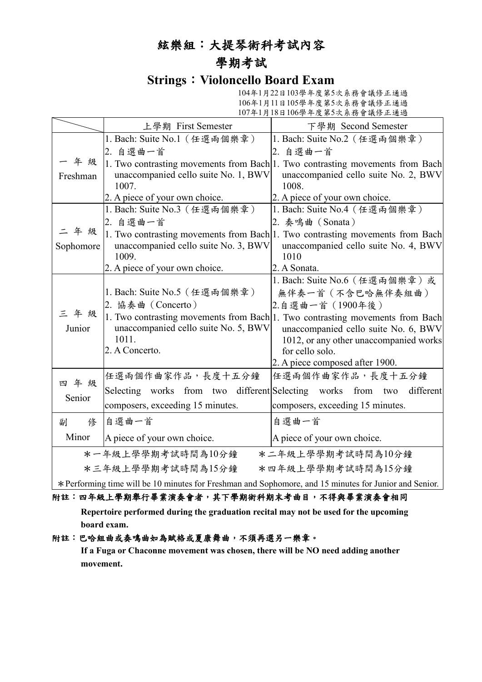## 絃樂組:大提琴術科考試內容

## 學期考試

### **Strings**:**Violoncello Board Exam**

104年1月22日103學年度第5次系務會議修正通過 106年1月11日105學年度第5次系務會議修正通過 107年1月18日106學年度第5次系務會議修正通過

|                                                                                                        | 上學期 First Semester                                          | 下學期 Second Semester                                                           |
|--------------------------------------------------------------------------------------------------------|-------------------------------------------------------------|-------------------------------------------------------------------------------|
|                                                                                                        | 1. Bach: Suite No.1 (任選兩個樂章)                                | 1. Bach: Suite No.2 (任選兩個樂章)                                                  |
| 年级<br>Freshman                                                                                         | 2. 自選曲一首                                                    | 2. 自選曲一首                                                                      |
|                                                                                                        |                                                             | 1. Two contrasting movements from Bach 1. Two contrasting movements from Bach |
|                                                                                                        | unaccompanied cello suite No. 1, BWV                        | unaccompanied cello suite No. 2, BWV                                          |
|                                                                                                        | 1007.                                                       | 1008.                                                                         |
|                                                                                                        | 2. A piece of your own choice.                              | 2. A piece of your own choice.                                                |
|                                                                                                        | 1. Bach: Suite No.3 (任選兩個樂章)                                | 1. Bach: Suite No.4 (任選兩個樂章)                                                  |
|                                                                                                        | 2. 自選曲一首                                                    | 2. 奏鳴曲 (Sonata)                                                               |
| 二年级                                                                                                    |                                                             | 1. Two contrasting movements from Bach 1. Two contrasting movements from Bach |
| Sophomore                                                                                              | unaccompanied cello suite No. 3, BWV                        | unaccompanied cello suite No. 4, BWV                                          |
|                                                                                                        | 1009.                                                       | 1010                                                                          |
|                                                                                                        | 2. A piece of your own choice.                              | 2. A Sonata.                                                                  |
|                                                                                                        |                                                             | 1. Bach: Suite No.6 (任選兩個樂章)或                                                 |
|                                                                                                        | 1. Bach: Suite No.5 (任選兩個樂章)                                | 無伴奏一首 (不含巴哈無伴奏組曲)                                                             |
| 三年级                                                                                                    | 2. 協奏曲 (Concerto)                                           | 2.自選曲一首 (1900年後)                                                              |
|                                                                                                        |                                                             | 1. Two contrasting movements from Bach 1. Two contrasting movements from Bach |
| Junior                                                                                                 | unaccompanied cello suite No. 5, BWV                        | unaccompanied cello suite No. 6, BWV                                          |
|                                                                                                        | 1011.                                                       | 1012, or any other unaccompanied works                                        |
|                                                                                                        | 2. A Concerto.                                              | for cello solo.                                                               |
|                                                                                                        |                                                             | 2. A piece composed after 1900.                                               |
| 四年级                                                                                                    | 任選兩個作曲家作品,長度十五分鐘                                            | 任選兩個作曲家作品,長度十五分鐘                                                              |
| Senior                                                                                                 | Selecting works from two different Selecting works from two | different                                                                     |
|                                                                                                        | composers, exceeding 15 minutes.                            | composers, exceeding 15 minutes.                                              |
| 俢<br>副                                                                                                 | 自選曲一首                                                       | 自選曲一首                                                                         |
| Minor                                                                                                  | A piece of your own choice.                                 | A piece of your own choice.                                                   |
|                                                                                                        | *一年級上學學期考試時間為10分鐘                                           | *二年級上學學期考試時間為10分鐘                                                             |
| *三年級上學學期考試時間為15分鐘<br>*四年級上學學期考試時間為15分鐘                                                                 |                                                             |                                                                               |
| * Performing time will be 10 minutes for Freshman and Sophomore, and 15 minutes for Junior and Senior. |                                                             |                                                                               |

#### 附註:四年級上學期舉行畢業演奏會者,其下學期術科期末考曲目,不得與畢業演奏會相同

**Repertoire performed during the graduation recital may not be used for the upcoming board exam.**

#### 附註:巴哈組曲或奏鳴曲如為賦格或夏康舞曲,不須再選另一樂章。

**If a Fuga or Chaconne movement was chosen, there will be NO need adding another movement.**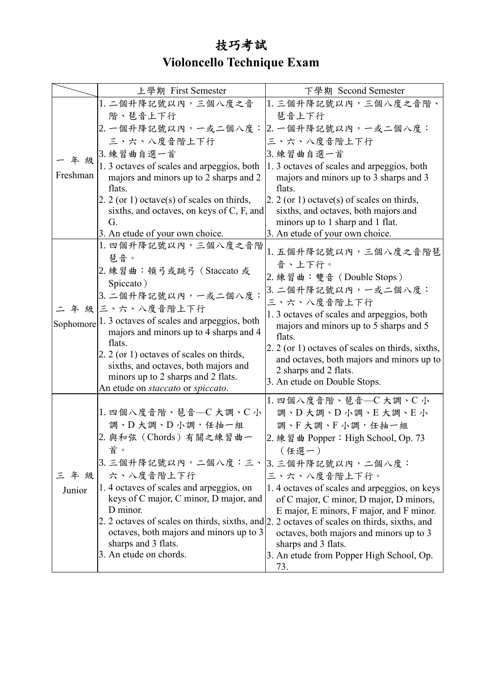# 技巧考試 **Violoncello Technique Exam**

|          | 上學期 First Semester                                                                             | 下學期 Second Semester                                                                                                                    |
|----------|------------------------------------------------------------------------------------------------|----------------------------------------------------------------------------------------------------------------------------------------|
|          | 1. 二個升降記號以內,三個八度之音                                                                             | 1. 三個升降記號以內,三個八度之音階、                                                                                                                   |
|          | 階、琶音上下行                                                                                        | 琶音上下行                                                                                                                                  |
|          | 2. 一個升降記號以內,一或二個八度:                                                                            | 2. 一個升降記號以內, 一或二個八度:                                                                                                                   |
|          | 三、六、八度音階上下行                                                                                    | 三、六、八度音階上下行                                                                                                                            |
|          | 3. 練習曲自選一首                                                                                     | 3. 練習曲自選一首                                                                                                                             |
| 年級       | 1.3 octaves of scales and arpeggios, both                                                      | 1.3 octaves of scales and arpeggios, both                                                                                              |
| Freshman | majors and minors up to 2 sharps and 2                                                         | majors and minors up to 3 sharps and 3                                                                                                 |
|          | flats.                                                                                         | flats.                                                                                                                                 |
|          | 2. 2 (or 1) octave(s) of scales on thirds,                                                     | $2.2$ (or 1) octave(s) of scales on thirds,                                                                                            |
|          | sixths, and octaves, on keys of C, F, and                                                      | sixths, and octaves, both majors and                                                                                                   |
|          | G.                                                                                             | minors up to 1 sharp and 1 flat.                                                                                                       |
|          | 3. An etude of your own choice.                                                                | 3. An etude of your own choice.                                                                                                        |
|          | 1. 四個升降記號以內, 三個八度之音階<br>琵音。                                                                    | 1. 五個升降記號以內,三個八度之音階琶                                                                                                                   |
|          |                                                                                                | 音、上下行。                                                                                                                                 |
|          | 2. 練習曲:頓弓或跳弓 (Staccato 或                                                                       | 2. 練習曲: 雙音 (Double Stops)                                                                                                              |
|          | Spiccato)                                                                                      | 3. 二個升降記號以內,一或二個八度:                                                                                                                    |
|          | 3. 二個升降記號以內,一或二個八度:                                                                            | 三、六、八度音階上下行                                                                                                                            |
|          | 二 年 級 三、六、八度音階上下行                                                                              | 1.3 octaves of scales and arpeggios, both                                                                                              |
|          | Sophomore 1. 3 octaves of scales and arpeggios, both<br>majors and minors up to 4 sharps and 4 | majors and minors up to 5 sharps and 5                                                                                                 |
|          | flats.                                                                                         | flats.                                                                                                                                 |
|          | 2. 2 (or 1) octaves of scales on thirds,                                                       | 2. 2 (or 1) octaves of scales on thirds, sixths,                                                                                       |
|          | sixths, and octaves, both majors and                                                           | and octaves, both majors and minors up to                                                                                              |
|          | minors up to 2 sharps and 2 flats.                                                             | 2 sharps and 2 flats.<br>3. An etude on Double Stops.                                                                                  |
|          | An etude on staccato or spiccato.                                                              |                                                                                                                                        |
|          |                                                                                                | 1. 四個八度音階、琶音––C大調、C小                                                                                                                   |
|          | 1. 四個八度音階、琶音––C 大調、C 小                                                                         | 調、D大調、D小調、E大調、E小                                                                                                                       |
|          | 調、D大調、D小調,任抽一組                                                                                 | 調、F大調、F小調,任抽一組                                                                                                                         |
|          | 2. 與和弦 (Chords) 有關之練習曲一                                                                        | 2. 練習曲 Popper: High School, Op. 73                                                                                                     |
|          | 首。                                                                                             | (任選一)                                                                                                                                  |
|          | 3. 三個升降記號以內,二個八度:三、 3. 三個升降記號以內,二個八度:                                                          |                                                                                                                                        |
| 三年級      | 六、八度音階上下行                                                                                      | 三、六、八度音階上下行。                                                                                                                           |
| Junior   | 1.4 octaves of scales and arpeggios, on                                                        | 1.4 octaves of scales and arpeggios, on keys                                                                                           |
|          | keys of C major, C minor, D major, and                                                         | of C major, C minor, D major, D minors,                                                                                                |
|          | D minor.                                                                                       | E major, E minors, F major, and F minor.                                                                                               |
|          | octaves, both majors and minors up to 3                                                        | 2. 2 octaves of scales on thirds, sixths, and 2. 2 octaves of scales on thirds, sixths, and<br>octaves, both majors and minors up to 3 |
|          | sharps and 3 flats.                                                                            | sharps and 3 flats.                                                                                                                    |
|          | 3. An etude on chords.                                                                         | 3. An etude from Popper High School, Op.                                                                                               |
|          |                                                                                                | 73.                                                                                                                                    |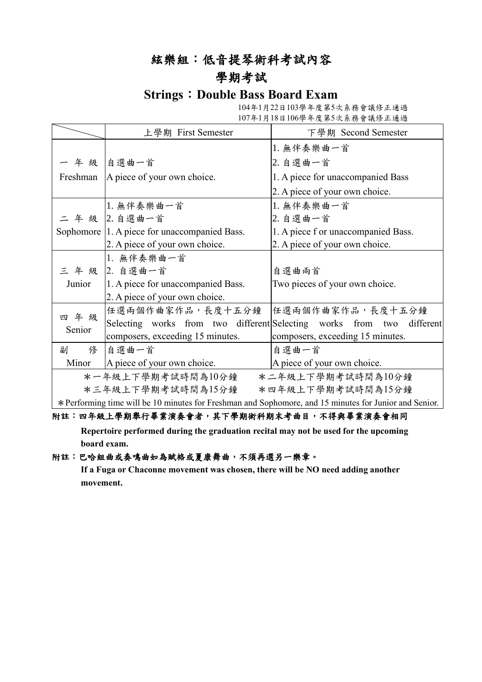### 絃樂組:低音提琴術科考試內容

### 學期考試

### **Strings**:**Double Bass Board Exam**

104年1月22日103學年度第5次系務會議修正通過 107年1月18日106學年度第5次系務會議修正通過

|                                                                                                      | 上學期 First Semester                           | 下學期 Second Semester                                                   |
|------------------------------------------------------------------------------------------------------|----------------------------------------------|-----------------------------------------------------------------------|
|                                                                                                      |                                              | 1. 無伴奏樂曲一首                                                            |
|                                                                                                      | 一年級 自選曲一首                                    | 2. 自選曲一首                                                              |
|                                                                                                      | Freshman   A piece of your own choice.       | 1. A piece for unaccompanied Bass                                     |
|                                                                                                      |                                              | 2. A piece of your own choice.                                        |
|                                                                                                      | 1. 無伴奏樂曲一首                                   | 1. 無伴奏樂曲一首                                                            |
|                                                                                                      | 二年級 2.自選曲一首                                  | 2. 自選曲一首                                                              |
|                                                                                                      | Sophomore 1. A piece for unaccompanied Bass. | 1. A piece f or unaccompanied Bass.                                   |
|                                                                                                      | 2. A piece of your own choice.               | 2. A piece of your own choice.                                        |
|                                                                                                      | 1. 無伴奏樂曲一首                                   |                                                                       |
|                                                                                                      | 三年級 2. 自選曲一首                                 | 自選曲兩首                                                                 |
| Junior                                                                                               | 1. A piece for unaccompanied Bass.           | Two pieces of your own choice.                                        |
|                                                                                                      | 2. A piece of your own choice.               |                                                                       |
|                                                                                                      | 任選兩個作曲家作品,長度十五分鐘                             | 任選兩個作曲家作品,長度十五分鐘                                                      |
| 四年级<br>Senior                                                                                        |                                              | Selecting works from two different Selecting works from two different |
|                                                                                                      | composers, exceeding 15 minutes.             | composers, exceeding 15 minutes.                                      |
| 俢<br>副                                                                                               | 自選曲一首                                        | 自選曲一首                                                                 |
| Minor                                                                                                | A piece of your own choice.                  | A piece of your own choice.                                           |
| *一年級上下學期考試時間為10分鐘<br>*二年級上下學期考試時間為10分鐘                                                               |                                              |                                                                       |
|                                                                                                      | *三年級上下學期考試時間為15分鐘                            | *四年級上下學期考試時間為15分鐘                                                     |
| Depterming time will be 10 minutes for Execution and Sephemera, and 15 minutes for Junior and Septem |                                              |                                                                       |

\*Performing time will be 10 minutes for Freshman and Sophomore, and 15 minutes for Junior and Senior.

#### 附註:四年級上學期舉行畢業演奏會者,其下學期術科期末考曲目,不得與畢業演奏會相同

**Repertoire performed during the graduation recital may not be used for the upcoming board exam.**

#### 附註:巴哈組曲或奏鳴曲如為賦格或夏康舞曲,不須再選另一樂章。

**If a Fuga or Chaconne movement was chosen, there will be NO need adding another movement.**